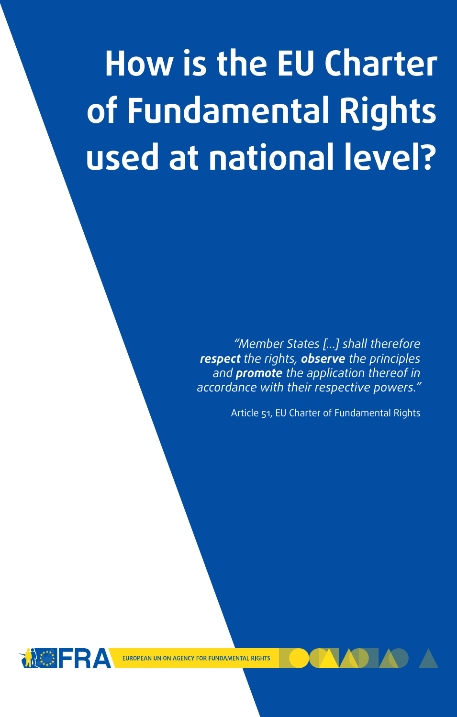# **How is the EU Charter of Fundamental Rights used at national level?**

*accordance with their respective powers." "Member States […] shall therefore respect the rights, observe the principles and promote the application thereof in* 

Article 51, EU Charter of Fundamental Rights



EU and non-EU citizens.

It binds the EU institutions in all contexts.

EUROPEAN UNION AGENCY FOR FUNDAMENTAL RIGHTS

It protects the fundamental rights of everyone in the  $E$ 

It binds EU Member States when they act with the scope of the scope of the scope of the scope of the scope of

legally-binding human rights documents, covering political as

It is one of the world´s most modern and comprehensive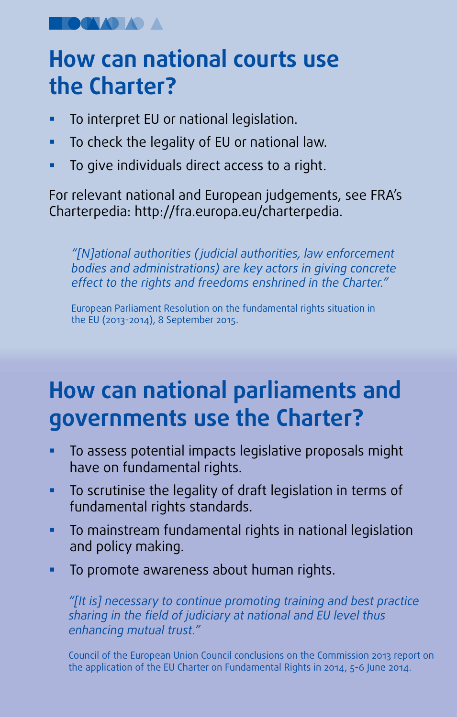**OCAAD AD A** 

### **How can national courts use How can national courts use How can national courts use the Charter? the Charter? the Charter?**

- To interpret EU or national legislation. To interpret EU or national legislation. To interpret EU or national legislation.
- To check the legality of EU or national law. To check the legality of EU or national law. To check the legality of EU or national law.
- To give individuals direct access to a right. To give individuals direct access to a right. To give individuals direct access to a right.

For relevant national and European judgements, see FRA's For relevant national and European judgements, see FRA's For relevant national and European judgements, see FRA's Charterpedia: http://fra.europa.eu/charterpedia. Charterpedia: http://fra.europa.eu/charterpedia. Charterpedia: http://fra.europa.eu/charterpedia.

*"[N]ational authorities (judicial authorities, law enforcement "[N]ational authorities (judicial authorities, law enforcement "[N]ational authorities (judicial authorities, law enforcement bodies and administrations) are key actors in giving concrete bodies and administrations) are key actors in giving concrete bodies and administrations) are key actors in giving concrete effect to the rights and freedoms enshrined in the Charter." effect to the rights and freedoms enshrined in the Charter". effect to the rights and freedoms enshrined in the Charter".*

European Parliament Resolution on the fundamental rights situation in European Parliament Resolution on the fundamental rights situation in European Parliament Resolution on the fundamental rights situation in the EU (2013-2014), 8 September 2015. the EU (2013-2014), 8 September 2015 the EU (2013-2014), 8 September 2015

### **How can national parliaments and How can national parliaments and How can national parliaments and governments use the Charter? governments use the Charter? governments use the Charter?**

- To assess potential impacts legislative proposals might To assess potential impacts legislative proposals might To assess potential impacts legislative proposals might have on fundamental rights. have on fundamental rights. have on fundamental rights.
- To scrutinise the legality of draft legislation in terms of To scrutinise the legality of draft legislation in terms of To scrutinise the legality of draft legislation in terms of fundamental rights standards. fundamental rights standards. fundamental rights standards.
- To mainstream fundamental rights in national legislation To mainstream fundamental rights in national legislation To mainstream fundamental rights in national legislation and policy making. and policy making. and policy making.
- To promote awareness about human rights. To promote awareness about human rights. To promote awareness about rights.

*"[It is] necessary to continue promoting training and best practice "[It is] necessary to continue promoting training and best practice*  "[It is] necessary to continue promoting training and best practice<br>sharing in the field of judiciary at national and EU level thus *enhancing mutual trust." enhancing mutual trust". enhancing mutual trust".*

Council of the European Union Council conclusions on the Commission 2013 report on the application of the EU Charter on Fundamental Rights in 2014, 5-6 June 2014.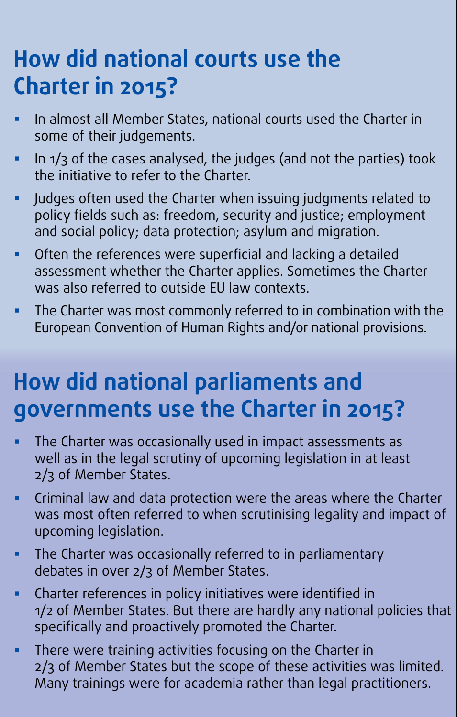## **How did national courts use the How did national courts use the How did national courts use the Charter in 2015?Charter in 2015? Charter in 2015?**

- In almost all Member States, national courts used the Charter in In almost all Member States, national courts used the Charter in In almost all Member States, national courts used the Charter in some of their judgements. some of their judgements. some of their judgements.
- In 1/3 of the cases analysed, the judges (and not the parties) took In 1/3 of the cases analysed, the judges (and not the parties) took In 1/3 of the cases analysed, the judges (and not the parties) took the initiative to refer to the Charter. the initiative to refer to the Charter. the initiative to refer to the Charter.
- Judges often used the Charter when issuing judgments related to Judges often used the Charter when issuing judgments related to Judges often used the Charter when issuing judgments related to policy fields such as: freedom, security and justice; employment policy fields such as: freedom, security and justice; employment policy fields such as: freedom, security and justice; employment and social policy; data protection; asylum and migration. and social policy; data protection; asylum and migration. and social policy; data protection; asylum and migration.
- Often the references were superficial and lacking a detailed Often the references were superficial and lacking a detailed Often the references were superficial and lacking a detailed assessment whether the Charter applies. Sometimes the Charter assessment whether the Charter applies. Sometimes the Charter assessment whether the Charter applies. Sometimes the Charter was also referred to outside EU law contexts. was also referred to outside EU law contexts. was also referred to outside EU law contexts.
- The Charter was most commonly referred to in combination with the The Charter was most commonly referred to in combination with the The Charter was most commonly referred to in combination with the European Convention of Human Rights and/or national provisions. European Convention of Human Rights and/or national provisions. European Convention of Human Rights and/or national provisions.

### **How did national parliaments and governments use the Charter in 2015? How did national parliaments and How did national parliaments and governments use the Charter in 2015? governments use the Charter in 2015?**

- The Charter was occasionally used in impact assessments as me charter was occasionally ased in impact assessments as well as in the legal scrutiny of upcoming legislation in at least well as in the legal scrutiny or upcoming legislation in at least<br>2/3 of Member States. 2/3 of Member States. 2/3 of Member States.
- Criminal law and data protection were the areas where the Charter was most often referred to when scrutinising legality and impact of Criminal law and data protection were the areas where the Charter Criminal law and data protection were the areas where the Charter was most often referred to when scrutinising regality and impact of upcoming legislation. upcoming legislation.<br>The communication upcoming legislation.
- The Charter was occasionally referred to in parliamentary me charter was occasionally referred to in parliamentary debates in over 2/3 of Member States. debates in over 2/3 of Member States.
- Charter references in policy initiatives were identified in endrich references in policy initiatives were identified in 1/2 of Member States. But there are hardly any national policies that specifically and proactively promoted the Charter. debates in over 2/3 of Member States. specifically and proactively promoted the Charter. specifically and proactively promoted the Charter.
- **There were training activities focusing on the Charter in** mere were training activities rocesing on the charter in the charter in the Charter in  $2/3$  of Member States but the scope of these activities was limited. Many trainings were for academia rather than legal practitioners. 2/3 of Member States but the scope of these activities was limited. Many trainings were for academia rather than legal practitioners. 2/3 of Member States but the scope of these activities was immed. Many trainings were for academia rather than legal practitioners.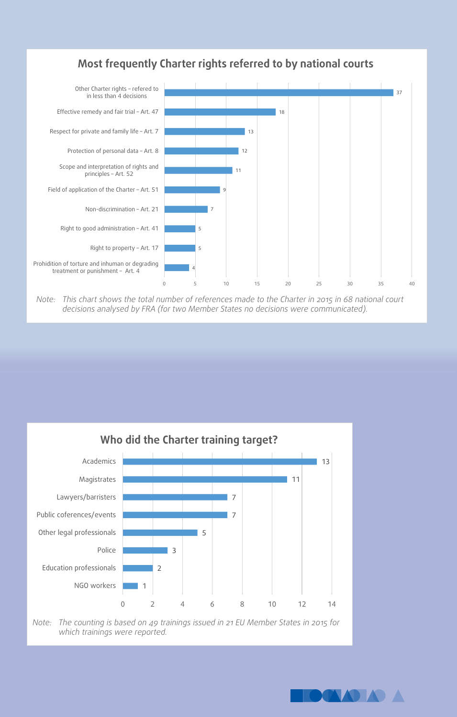

#### **Most frequently Charter rights referred to by national courts** Most frequently Charter rights referred to by national courts

Note: This chart shows the total number of references made to the Charter in 2015 in 68 national court decisions analysed by FRA (for two Member States no decisions were communicated).



Note: The counting is based on 49 trainings issued in 21 EU Member States in 2015 for *which trainings were reported. which trainings were reported. which trainings were reported.* 

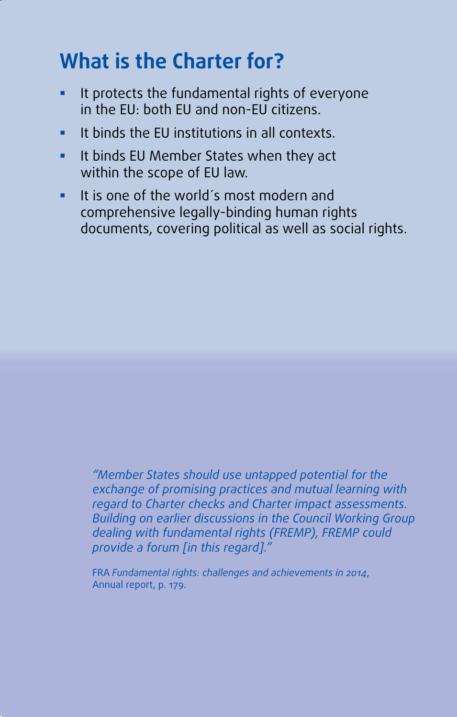### **What is the Charter for?**

- It protects the fundamental rights of everyone in the EU: both EU and non-EU citizens.
- $\blacksquare$  It binds the EU institutions in all contexts.
- **If binds EU Member States when they act** within the scope of EU law.
- It is one of the world´s most modern and comprehensive legally-binding human rights documents, covering political as well as social rights.

*"Member States should use untapped potential for the exchange of promising practices and mutual learning with regard to Charter checks and Charter impact assessments. Building on earlier discussions in the Council Working Group dealing with fundamental rights (FREMP), FREMP could provide a forum [in this regard]."*

FRA *Fundamental rights: challenges and achievements in 2014*, Annual report, p. 179.